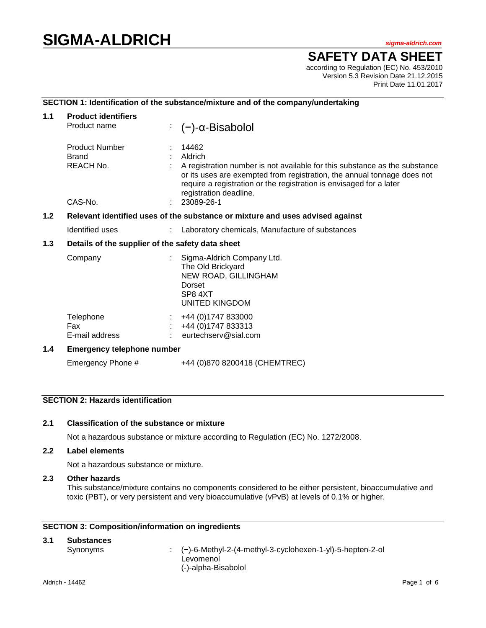# **SIGMA-ALDRICH** *sigma-aldrich.com*

**SAFETY DATA SHEET**

according to Regulation (EC) No. 453/2010 Version 5.3 Revision Date 21.12.2015 Print Date 11.01.2017

## **SECTION 1: Identification of the substance/mixture and of the company/undertaking**

| $1.1$ | <b>Product identifiers</b><br>Product name                                    | $(-)$ -α-Bisabolol                                                                                                                                                                                                                                                                       |  |  |
|-------|-------------------------------------------------------------------------------|------------------------------------------------------------------------------------------------------------------------------------------------------------------------------------------------------------------------------------------------------------------------------------------|--|--|
|       | <b>Product Number</b><br><b>Brand</b><br><b>REACH No.</b><br>CAS-No.          | 14462<br>Aldrich<br>A registration number is not available for this substance as the substance<br>or its uses are exempted from registration, the annual tonnage does not<br>require a registration or the registration is envisaged for a later<br>registration deadline.<br>23089-26-1 |  |  |
| 1.2   | Relevant identified uses of the substance or mixture and uses advised against |                                                                                                                                                                                                                                                                                          |  |  |
|       | Identified uses                                                               | Laboratory chemicals, Manufacture of substances                                                                                                                                                                                                                                          |  |  |
| 1.3   | Details of the supplier of the safety data sheet                              |                                                                                                                                                                                                                                                                                          |  |  |
|       | Company                                                                       | Sigma-Aldrich Company Ltd.<br>The Old Brickyard<br>NEW ROAD, GILLINGHAM<br>Dorset<br>SP8 4XT<br>UNITED KINGDOM                                                                                                                                                                           |  |  |
|       | Telephone<br>Fax<br>E-mail address                                            | +44 (0) 1747 833000<br>+44 (0) 1747 833313<br>eurtechserv@sial.com                                                                                                                                                                                                                       |  |  |
| 1.4   | <b>Emergency telephone number</b>                                             |                                                                                                                                                                                                                                                                                          |  |  |
|       | Emergency Phone #                                                             | +44 (0)870 8200418 (CHEMTREC)                                                                                                                                                                                                                                                            |  |  |

# **SECTION 2: Hazards identification**

#### **2.1 Classification of the substance or mixture**

Not a hazardous substance or mixture according to Regulation (EC) No. 1272/2008.

#### **2.2 Label elements**

Not a hazardous substance or mixture.

# **2.3 Other hazards**

This substance/mixture contains no components considered to be either persistent, bioaccumulative and toxic (PBT), or very persistent and very bioaccumulative (vPvB) at levels of 0.1% or higher.

# **SECTION 3: Composition/information on ingredients**

| 3.1 | <b>Substances</b> |                                                                        |
|-----|-------------------|------------------------------------------------------------------------|
|     | Synonyms          | $\therefore$ (-)-6-Methyl-2-(4-methyl-3-cyclohexen-1-yl)-5-hepten-2-ol |
|     |                   | Levomenol                                                              |
|     |                   | (-)-alpha-Bisabolol                                                    |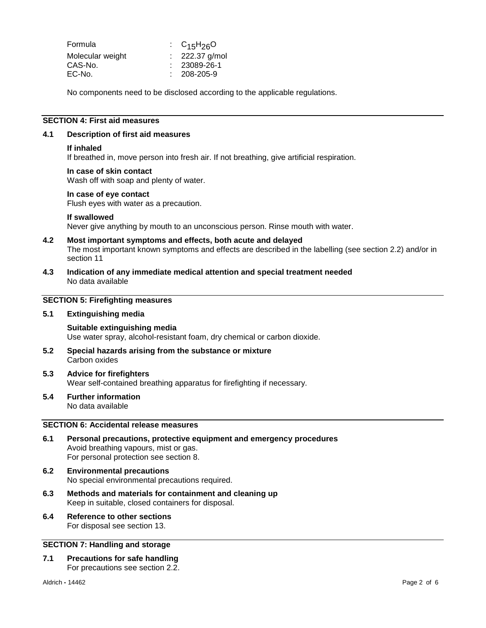| Formula          | : $C_{15}H_{26}O$ |
|------------------|-------------------|
| Molecular weight | $: 222.37$ g/mol  |
| CAS-No.          | $: 23089-26-1$    |
| EC-No.           | $: 208 - 205 - 9$ |

No components need to be disclosed according to the applicable regulations.

## **SECTION 4: First aid measures**

#### **4.1 Description of first aid measures**

#### **If inhaled**

If breathed in, move person into fresh air. If not breathing, give artificial respiration.

#### **In case of skin contact**

Wash off with soap and plenty of water.

#### **In case of eye contact**

Flush eyes with water as a precaution.

#### **If swallowed**

Never give anything by mouth to an unconscious person. Rinse mouth with water.

#### **4.2 Most important symptoms and effects, both acute and delayed** The most important known symptoms and effects are described in the labelling (see section 2.2) and/or in section 11

**4.3 Indication of any immediate medical attention and special treatment needed** No data available

#### **SECTION 5: Firefighting measures**

#### **5.1 Extinguishing media**

#### **Suitable extinguishing media** Use water spray, alcohol-resistant foam, dry chemical or carbon dioxide.

**5.2 Special hazards arising from the substance or mixture** Carbon oxides

#### **5.3 Advice for firefighters** Wear self-contained breathing apparatus for firefighting if necessary.

**5.4 Further information** No data available

# **SECTION 6: Accidental release measures**

- **6.1 Personal precautions, protective equipment and emergency procedures** Avoid breathing vapours, mist or gas. For personal protection see section 8.
- **6.2 Environmental precautions** No special environmental precautions required.
- **6.3 Methods and materials for containment and cleaning up** Keep in suitable, closed containers for disposal.
- **6.4 Reference to other sections** For disposal see section 13.

#### **SECTION 7: Handling and storage**

**7.1 Precautions for safe handling** For precautions see section 2.2.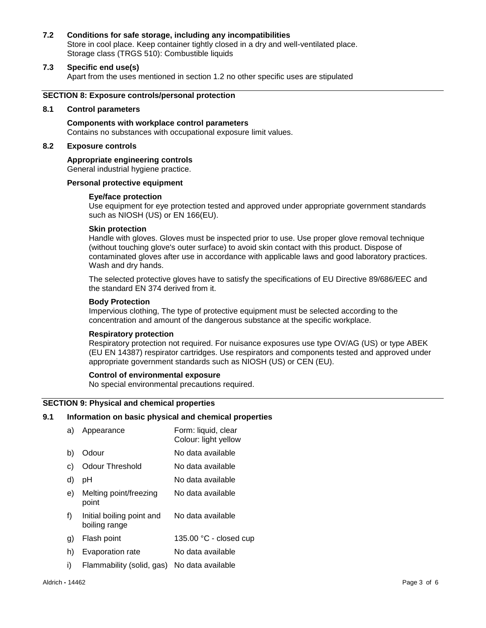#### **7.2 Conditions for safe storage, including any incompatibilities**

Store in cool place. Keep container tightly closed in a dry and well-ventilated place. Storage class (TRGS 510): Combustible liquids

# **7.3 Specific end use(s)**

Apart from the uses mentioned in section 1.2 no other specific uses are stipulated

#### **SECTION 8: Exposure controls/personal protection**

#### **8.1 Control parameters**

**Components with workplace control parameters** Contains no substances with occupational exposure limit values.

# **8.2 Exposure controls**

#### **Appropriate engineering controls**

General industrial hygiene practice.

#### **Personal protective equipment**

#### **Eye/face protection**

Use equipment for eye protection tested and approved under appropriate government standards such as NIOSH (US) or EN 166(EU).

#### **Skin protection**

Handle with gloves. Gloves must be inspected prior to use. Use proper glove removal technique (without touching glove's outer surface) to avoid skin contact with this product. Dispose of contaminated gloves after use in accordance with applicable laws and good laboratory practices. Wash and dry hands.

The selected protective gloves have to satisfy the specifications of EU Directive 89/686/EEC and the standard EN 374 derived from it.

#### **Body Protection**

Impervious clothing, The type of protective equipment must be selected according to the concentration and amount of the dangerous substance at the specific workplace.

#### **Respiratory protection**

Respiratory protection not required. For nuisance exposures use type OV/AG (US) or type ABEK (EU EN 14387) respirator cartridges. Use respirators and components tested and approved under appropriate government standards such as NIOSH (US) or CEN (EU).

#### **Control of environmental exposure**

No special environmental precautions required.

#### **SECTION 9: Physical and chemical properties**

#### **9.1 Information on basic physical and chemical properties**

- a) Appearance Form: liquid, clear Colour: light yellow b) Odour No data available c) Odour Threshold No data available d) pH No data available e) Melting point/freezing point No data available f) Initial boiling point and boiling range No data available g) Flash point 135.00 °C - closed cup h) Evaporation rate No data available
- i) Flammability (solid, gas) No data available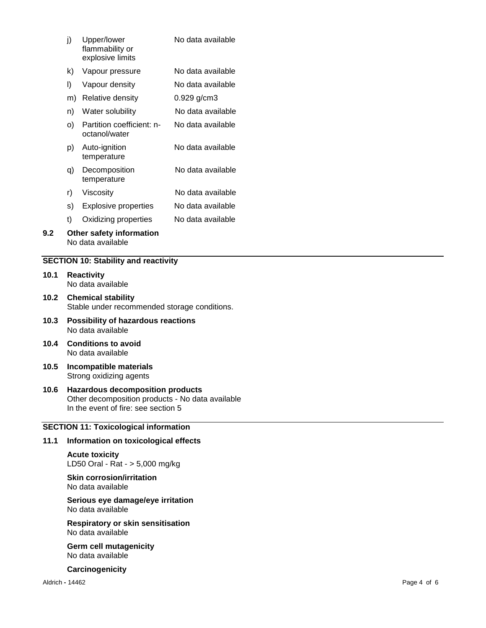| j)   |                                                                           | Upper/lower<br>flammability or<br>explosive limits | No data available |  |  |
|------|---------------------------------------------------------------------------|----------------------------------------------------|-------------------|--|--|
|      | k)                                                                        | Vapour pressure                                    | No data available |  |  |
|      | I)                                                                        | Vapour density                                     | No data available |  |  |
|      |                                                                           | m) Relative density                                | $0.929$ g/cm3     |  |  |
|      | n)                                                                        | Water solubility                                   | No data available |  |  |
| O)   |                                                                           | Partition coefficient: n-<br>octanol/water         | No data available |  |  |
| p)   |                                                                           | Auto-ignition<br>temperature                       | No data available |  |  |
|      | q)                                                                        | Decomposition<br>temperature                       | No data available |  |  |
|      | r)                                                                        | Viscosity                                          | No data available |  |  |
|      | s)                                                                        | <b>Explosive properties</b>                        | No data available |  |  |
|      | t)                                                                        | Oxidizing properties                               | No data available |  |  |
| 9.2  | Other safety information<br>No data available                             |                                                    |                   |  |  |
|      |                                                                           | <b>SECTION 10: Stability and reactivity</b>        |                   |  |  |
| 10.1 | <b>Reactivity</b><br>No data available                                    |                                                    |                   |  |  |
| 10.2 | <b>Chemical stability</b><br>Stable under recommended storage conditions. |                                                    |                   |  |  |
| 10.3 | <b>Possibility of hazardous reactions</b>                                 |                                                    |                   |  |  |

- No data available
- **10.4 Conditions to avoid** No data available
- **10.5 Incompatible materials** Strong oxidizing agents
- **10.6 Hazardous decomposition products** Other decomposition products - No data available In the event of fire: see section 5

# **SECTION 11: Toxicological information**

# **11.1 Information on toxicological effects**

**Acute toxicity** LD50 Oral - Rat - > 5,000 mg/kg

**Skin corrosion/irritation** No data available

#### **Serious eye damage/eye irritation** No data available

**Respiratory or skin sensitisation** No data available

**Germ cell mutagenicity** No data available

**Carcinogenicity**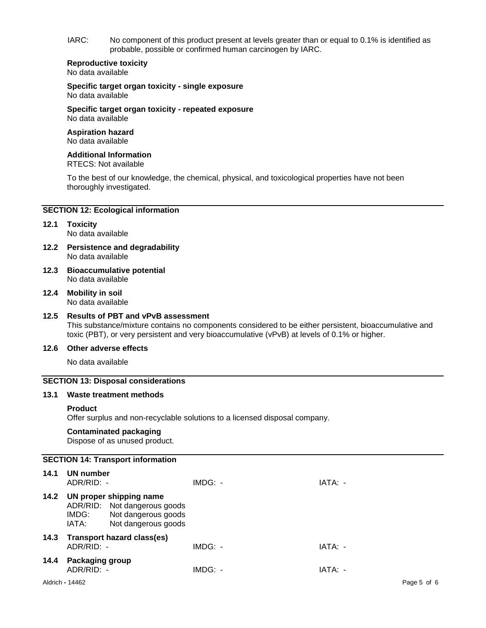IARC: No component of this product present at levels greater than or equal to 0.1% is identified as probable, possible or confirmed human carcinogen by IARC.

#### **Reproductive toxicity** No data available

**Specific target organ toxicity - single exposure** No data available

**Specific target organ toxicity - repeated exposure** No data available

#### **Aspiration hazard** No data available

# **Additional Information**

RTECS: Not available

To the best of our knowledge, the chemical, physical, and toxicological properties have not been thoroughly investigated.

# **SECTION 12: Ecological information**

# **12.1 Toxicity**

No data available

- **12.2 Persistence and degradability** No data available
- **12.3 Bioaccumulative potential** No data available
- **12.4 Mobility in soil** No data available

# **12.5 Results of PBT and vPvB assessment**

This substance/mixture contains no components considered to be either persistent, bioaccumulative and toxic (PBT), or very persistent and very bioaccumulative (vPvB) at levels of 0.1% or higher.

# **12.6 Other adverse effects**

No data available

## **SECTION 13: Disposal considerations**

#### **13.1 Waste treatment methods**

#### **Product**

Offer surplus and non-recyclable solutions to a licensed disposal company.

# **Contaminated packaging**

Dispose of as unused product.

# **SECTION 14: Transport information**

| 14.1 | UN number<br>ADR/RID: -       |                                                                                                       | IMDG: - | IATA: - |
|------|-------------------------------|-------------------------------------------------------------------------------------------------------|---------|---------|
| 14.2 | IMDG:<br>IATA:                | UN proper shipping name<br>ADR/RID: Not dangerous goods<br>Not dangerous goods<br>Not dangerous goods |         |         |
| 14.3 | $ADR/RID: -$                  | <b>Transport hazard class(es)</b>                                                                     | IMDG: - | IATA: - |
| 14.4 | Packaging group<br>ADR/RID: - |                                                                                                       | IMDG: - | IATA: - |
|      |                               |                                                                                                       |         |         |